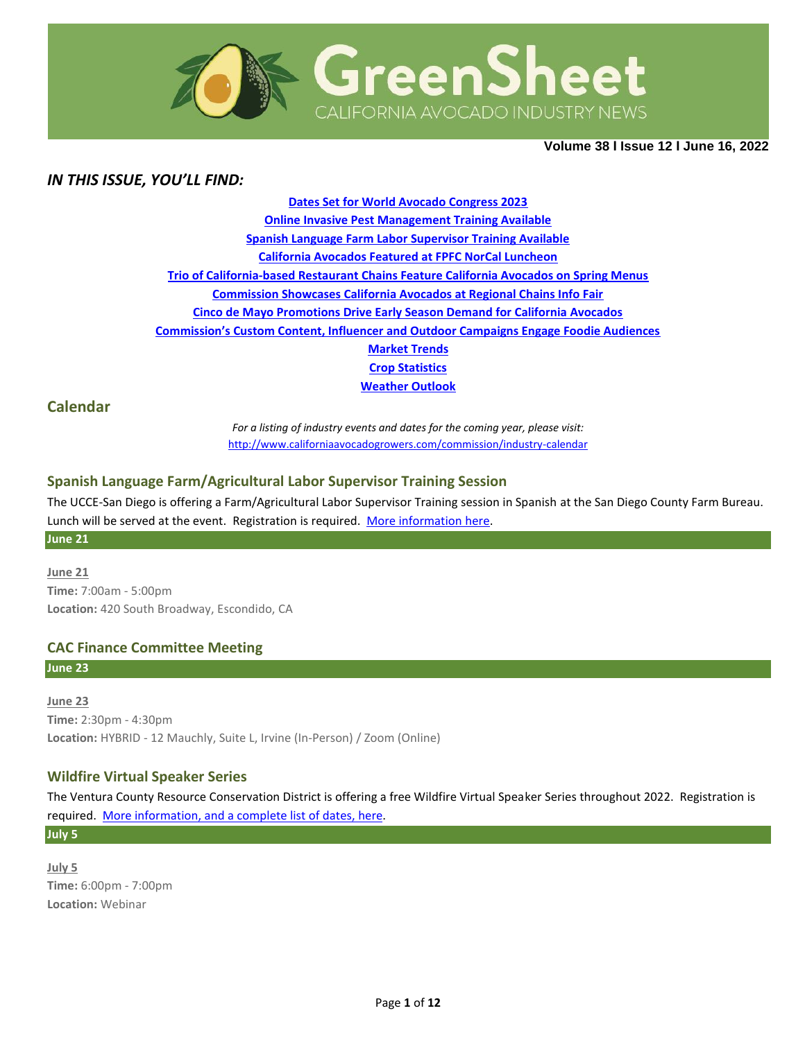

**Volume 38 Ι Issue 12 Ι June 16, 2022**

## *IN THIS ISSUE, YOU'LL FIND:*

**[Dates Set for World Avocado Congress 2023](#page-0-0) [Online Invasive Pest Management Training Available](#page-2-0) [Spanish Language Farm Labor Supervisor Training Available](#page-2-1) [California Avocados Featured at FPFC NorCal Luncheon](#page-3-0) Trio of California-based Restaurant [Chains Feature California Avocados on Spring Menus](#page-3-1) [Commission Showcases California Avocados at Regional Chains Info Fair](#page-4-0) [Cinco de Mayo Promotions Drive Early Season Demand for California Avocados](#page-5-0) [Commission's Custom Content, Influencer and Outdoor Campaigns Engage Foodie Audiences](#page-5-1) [Market](#page-7-0) Trends Crop [Statistics](#page-8-0) [Weather Outlook](#page-9-0)**

## **Calendar**

*For a listing of industry events and dates for the coming year, please visit:*  <http://www.californiaavocadogrowers.com/commission/industry-calendar>

### **Spanish Language Farm/Agricultural Labor Supervisor Training Session**

The UCCE-San Diego is offering a Farm/Agricultural Labor Supervisor Training session in Spanish at the San Diego County Farm Bureau. Lunch will be served at the event. Registration is required. [More information](https://www.californiaavocadogrowers.com/event/spanish-language-farmagricultural-labor-supervisor-training-session) here. **June 21**

**June 21 Time:** 7:00am - 5:00pm **Location:** 420 South Broadway, Escondido, CA

### **CAC Finance Committee Meeting**

**June 23**

**June 23 Time:** 2:30pm - 4:30pm **Location:** HYBRID - 12 Mauchly, Suite L, Irvine (In-Person) / Zoom (Online)

### **Wildfire Virtual Speaker Series**

The Ventura County Resource Conservation District is offering a free Wildfire Virtual Speaker Series throughout 2022. Registration is required. [More information, and a complete list of dates,](https://www.californiaavocadogrowers.com/event/wildfire-virtual-speaker-series) here.

**July 5**

<span id="page-0-0"></span>**July 5 Time:** 6:00pm - 7:00pm **Location:** Webinar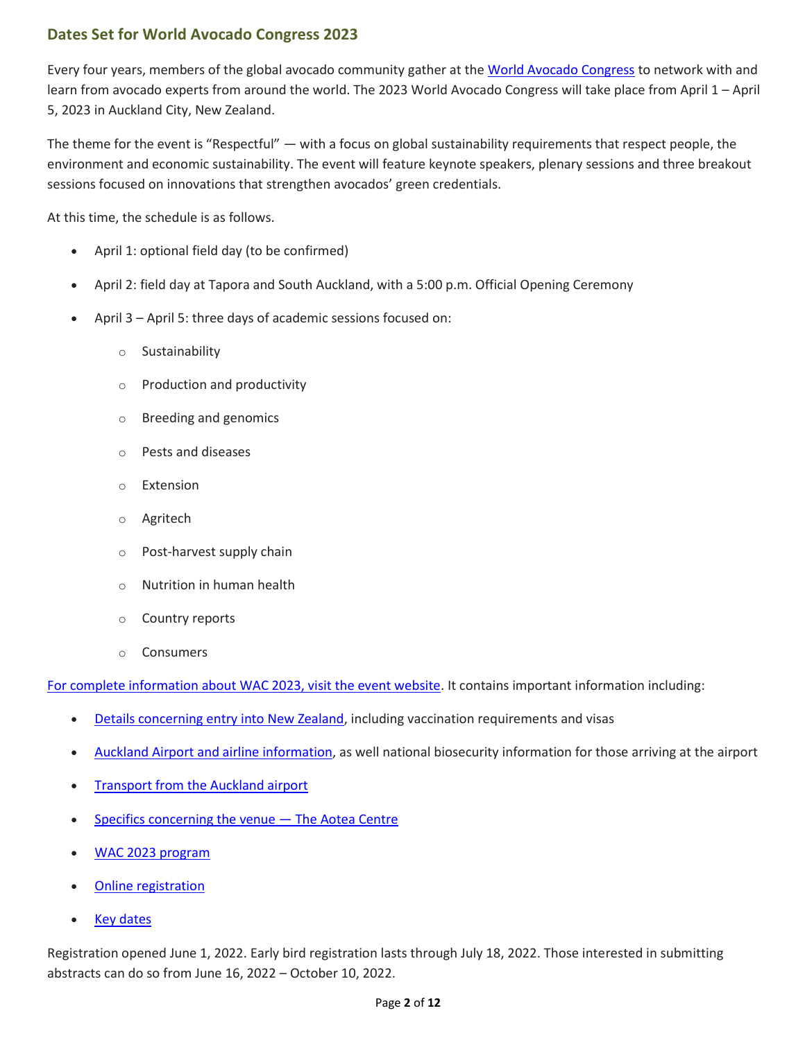# **Dates Set for World Avocado Congress 2023**

Every four years, members of the global avocado community gather at the [World Avocado Congress](https://www.wacnz2023.com/) to network with and learn from avocado experts from around the world. The 2023 World Avocado Congress will take place from April 1 – April 5, 2023 in Auckland City, New Zealand.

The theme for the event is "Respectful" — with a focus on global sustainability requirements that respect people, the environment and economic sustainability. The event will feature keynote speakers, plenary sessions and three breakout sessions focused on innovations that strengthen avocados' green credentials.

At this time, the schedule is as follows.

- April 1: optional field day (to be confirmed)
- April 2: field day at Tapora and South Auckland, with a 5:00 p.m. Official Opening Ceremony
- April 3 April 5: three days of academic sessions focused on:
	- o Sustainability
	- o Production and productivity
	- o Breeding and genomics
	- o Pests and diseases
	- o Extension
	- o Agritech
	- o Post-harvest supply chain
	- o Nutrition in human health
	- o Country reports
	- o Consumers

[For complete information about WAC 2023, visit the event website.](https://www.wacnz2023.com/) It contains important information including:

- [Details concerning entry into New Zealand,](https://www.wacnz2023.com/general-information/destination) including vaccination requirements and visas
- [Auckland Airport and airline information,](https://www.wacnz2023.com/general-information/destination) as well national biosecurity information for those arriving at the airport
- [Transport from the Auckland airport](https://www.wacnz2023.com/general-information/destination)
- [Specifics concerning the](https://www.wacnz2023.com/general-information/venue) venue The Aotea Centre
- [WAC 2023 program](https://www.wacnz2023.com/programme/programme-overview)
- [Online registration](https://www.wacnz2023.com/registration)
- **[Key dates](https://www.wacnz2023.com/programme/key-dates)**

Registration opened June 1, 2022. Early bird registration lasts through July 18, 2022. Those interested in submitting abstracts can do so from June 16, 2022 – October 10, 2022.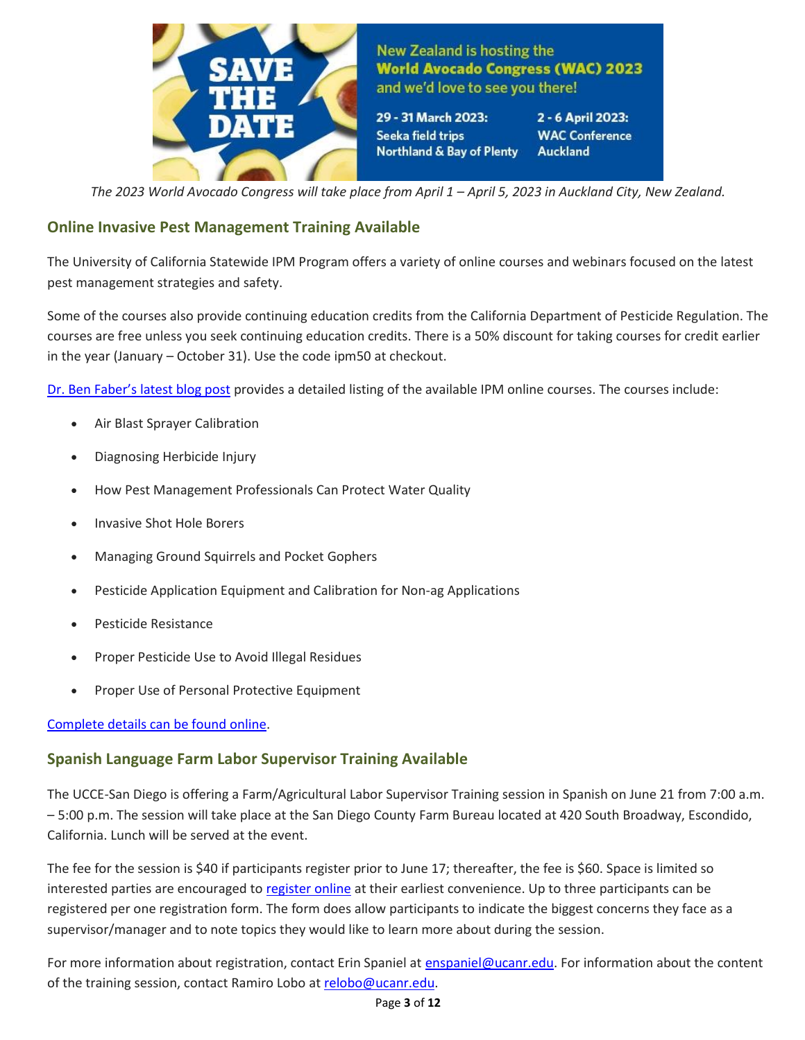

New Zealand is hosting the **World Avocado Congress (WAC) 2023** and we'd love to see you there!

29 - 31 March 2023: Seeka field trips Northland & Bay of Plenty 2 - 6 April 2023: **WAC Conference Auckland** 

The 2023 World Avocado Congress will take place from April 1 – April 5, 2023 in Auckland City, New Zealand.

## <span id="page-2-0"></span>**Online Invasive Pest Management Training Available**

The University of California Statewide IPM Program offers a variety of online courses and webinars focused on the latest pest management strategies and safety.

Some of the courses also provide continuing education credits from the California Department of Pesticide Regulation. The courses are free unless you seek continuing education credits. There is a 50% discount for taking courses for credit earlier in the year (January – October 31). Use the code ipm50 at checkout.

[Dr. Ben Faber's latest blog post](https://ucanr.edu/blogs/blogcore/postdetail.cfm?postnum=52205) provides a detailed listing of the available IPM online courses. The courses include:

- Air Blast Sprayer Calibration
- Diagnosing Herbicide Injury
- How Pest Management Professionals Can Protect Water Quality
- Invasive Shot Hole Borers
- Managing Ground Squirrels and Pocket Gophers
- Pesticide Application Equipment and Calibration for Non-ag Applications
- Pesticide Resistance
- Proper Pesticide Use to Avoid Illegal Residues
- Proper Use of Personal Protective Equipment

### [Complete details can be found online.](http://ipm.ucanr.edu/training/)

## <span id="page-2-1"></span>**Spanish Language Farm Labor Supervisor Training Available**

The UCCE-San Diego is offering a Farm/Agricultural Labor Supervisor Training session in Spanish on June 21 from 7:00 a.m. – 5:00 p.m. The session will take place at the San Diego County Farm Bureau located at 420 South Broadway, Escondido, California. Lunch will be served at the event.

The fee for the session is \$40 if participants register prior to June 17; thereafter, the fee is \$60. Space is limited so interested parties are encouraged to [register online](https://r20.rs6.net/tn.jsp?f=001sX1S406sJN7QkOXRhh1RHemMn05ABj2KkHNvbX93xIKDLXWucHjjv_4JyE5sDpfoSJgP70s9CcvNRJ6Vsk9BfJ2q_NGY0F3xDUuuKTcH0bDnI2HByzj0BQhFThzbb3bmoG2jWGOunnTHaS029Szeo4bQQKGhddRj7BwcCkbh5Em2MdDt3Wt5IkGrKLdbx1P8&c=0K2PL3eAA9guUOEnQFtbvHi4Gbg9UcUbxrkgGCK2cAMU1P5Z-l8CRg==&ch=2IOV910qRcRYm6G1o6ES4MfuFUOSBxhlb5X2NSrmGPVipxGa_3yHyw==) at their earliest convenience. Up to three participants can be registered per one registration form. The form does allow participants to indicate the biggest concerns they face as a supervisor/manager and to note topics they would like to learn more about during the session.

For more information about registration, contact Erin Spaniel at [enspaniel@ucanr.edu.](mailto:enspaniel@ucanr.edu) For information about the content of the training session, contact Ramiro Lobo a[t relobo@ucanr.edu.](mailto:relobo@ucanr.edu)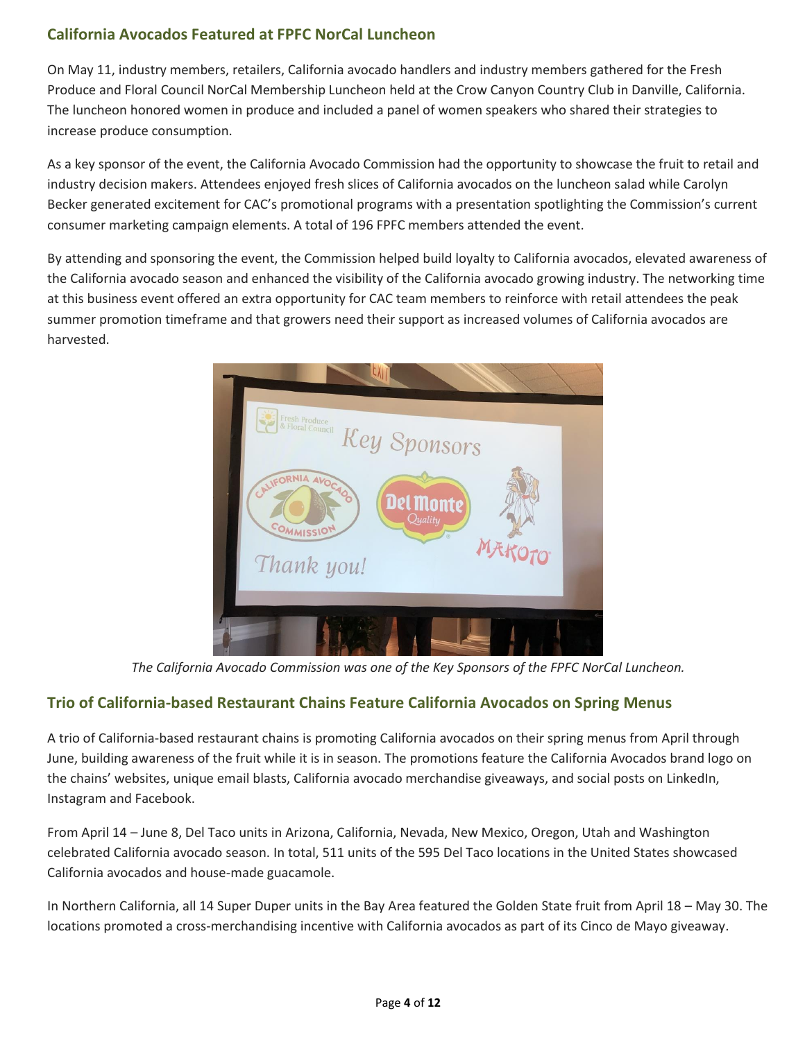# <span id="page-3-0"></span>**California Avocados Featured at FPFC NorCal Luncheon**

On May 11, industry members, retailers, California avocado handlers and industry members gathered for the Fresh Produce and Floral Council NorCal Membership Luncheon held at the Crow Canyon Country Club in Danville, California. The luncheon honored women in produce and included a panel of women speakers who shared their strategies to increase produce consumption.

As a key sponsor of the event, the California Avocado Commission had the opportunity to showcase the fruit to retail and industry decision makers. Attendees enjoyed fresh slices of California avocados on the luncheon salad while Carolyn Becker generated excitement for CAC's promotional programs with a presentation spotlighting the Commission's current consumer marketing campaign elements. A total of 196 FPFC members attended the event.

By attending and sponsoring the event, the Commission helped build loyalty to California avocados, elevated awareness of the California avocado season and enhanced the visibility of the California avocado growing industry. The networking time at this business event offered an extra opportunity for CAC team members to reinforce with retail attendees the peak summer promotion timeframe and that growers need their support as increased volumes of California avocados are harvested.



*The California Avocado Commission was one of the Key Sponsors of the FPFC NorCal Luncheon.*

## <span id="page-3-1"></span>**Trio of California-based Restaurant Chains Feature California Avocados on Spring Menus**

A trio of California-based restaurant chains is promoting California avocados on their spring menus from April through June, building awareness of the fruit while it is in season. The promotions feature the California Avocados brand logo on the chains' websites, unique email blasts, California avocado merchandise giveaways, and social posts on LinkedIn, Instagram and Facebook.

From April 14 – June 8, Del Taco units in Arizona, California, Nevada, New Mexico, Oregon, Utah and Washington celebrated California avocado season. In total, 511 units of the 595 Del Taco locations in the United States showcased California avocados and house-made guacamole.

In Northern California, all 14 Super Duper units in the Bay Area featured the Golden State fruit from April 18 – May 30. The locations promoted a cross-merchandising incentive with California avocados as part of its Cinco de Mayo giveaway.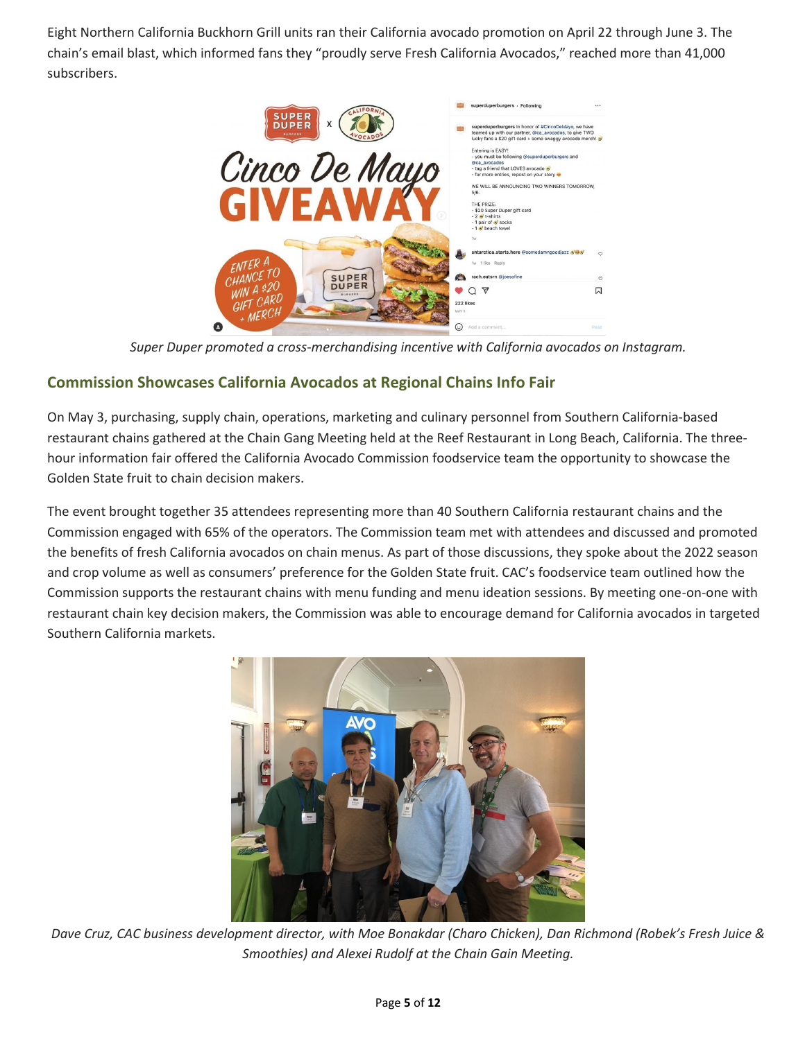Eight Northern California Buckhorn Grill units ran their California avocado promotion on April 22 through June 3. The chain's email blast, which informed fans they "proudly serve Fresh California Avocados," reached more than 41,000 subscribers.



*Super Duper promoted a cross-merchandising incentive with California avocados on Instagram.*

# <span id="page-4-0"></span>**Commission Showcases California Avocados at Regional Chains Info Fair**

On May 3, purchasing, supply chain, operations, marketing and culinary personnel from Southern California-based restaurant chains gathered at the Chain Gang Meeting held at the Reef Restaurant in Long Beach, California. The threehour information fair offered the California Avocado Commission foodservice team the opportunity to showcase the Golden State fruit to chain decision makers.

The event brought together 35 attendees representing more than 40 Southern California restaurant chains and the Commission engaged with 65% of the operators. The Commission team met with attendees and discussed and promoted the benefits of fresh California avocados on chain menus. As part of those discussions, they spoke about the 2022 season and crop volume as well as consumers' preference for the Golden State fruit. CAC's foodservice team outlined how the Commission supports the restaurant chains with menu funding and menu ideation sessions. By meeting one-on-one with restaurant chain key decision makers, the Commission was able to encourage demand for California avocados in targeted Southern California markets.



*Dave Cruz, CAC business development director, with Moe Bonakdar (Charo Chicken), Dan Richmond (Robek's Fresh Juice & Smoothies) and Alexei Rudolf at the Chain Gain Meeting.*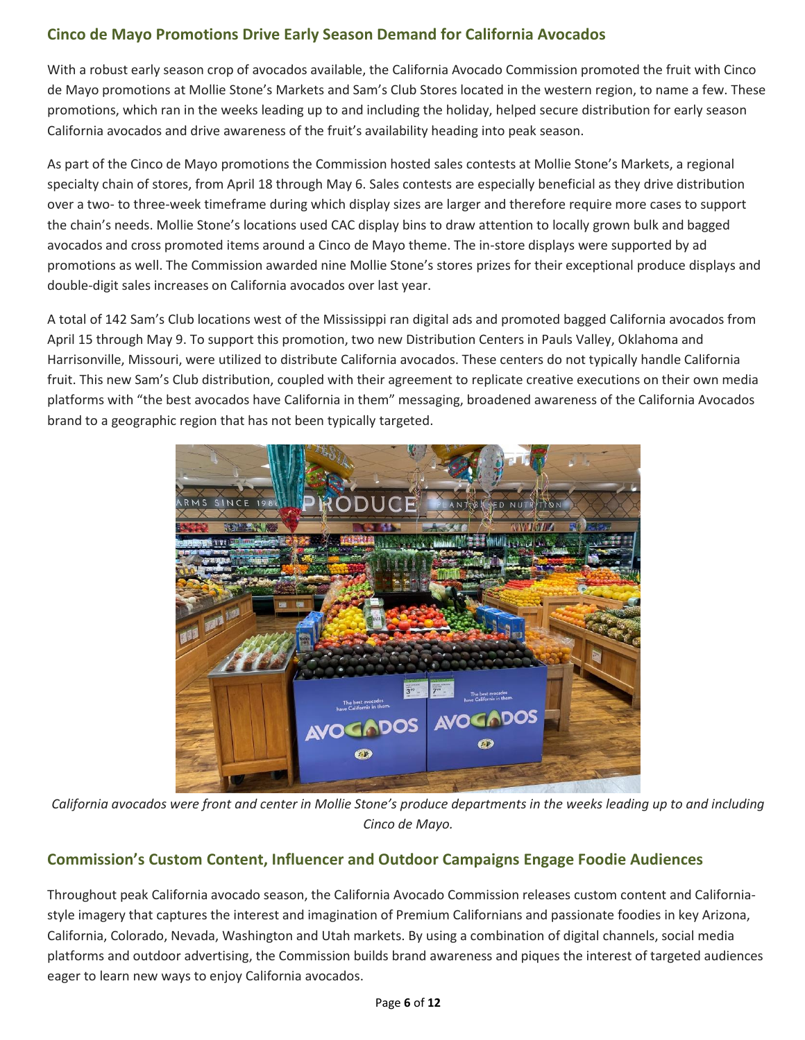# <span id="page-5-0"></span>**Cinco de Mayo Promotions Drive Early Season Demand for California Avocados**

With a robust early season crop of avocados available, the California Avocado Commission promoted the fruit with Cinco de Mayo promotions at Mollie Stone's Markets and Sam's Club Stores located in the western region, to name a few. These promotions, which ran in the weeks leading up to and including the holiday, helped secure distribution for early season California avocados and drive awareness of the fruit's availability heading into peak season.

As part of the Cinco de Mayo promotions the Commission hosted sales contests at Mollie Stone's Markets, a regional specialty chain of stores, from April 18 through May 6. Sales contests are especially beneficial as they drive distribution over a two- to three-week timeframe during which display sizes are larger and therefore require more cases to support the chain's needs. Mollie Stone's locations used CAC display bins to draw attention to locally grown bulk and bagged avocados and cross promoted items around a Cinco de Mayo theme. The in-store displays were supported by ad promotions as well. The Commission awarded nine Mollie Stone's stores prizes for their exceptional produce displays and double-digit sales increases on California avocados over last year.

A total of 142 Sam's Club locations west of the Mississippi ran digital ads and promoted bagged California avocados from April 15 through May 9. To support this promotion, two new Distribution Centers in Pauls Valley, Oklahoma and Harrisonville, Missouri, were utilized to distribute California avocados. These centers do not typically handle California fruit. This new Sam's Club distribution, coupled with their agreement to replicate creative executions on their own media platforms with "the best avocados have California in them" messaging, broadened awareness of the California Avocados brand to a geographic region that has not been typically targeted.

![](_page_5_Picture_4.jpeg)

*California avocados were front and center in Mollie Stone's produce departments in the weeks leading up to and including Cinco de Mayo.*

# <span id="page-5-1"></span>**Commission's Custom Content, Influencer and Outdoor Campaigns Engage Foodie Audiences**

Throughout peak California avocado season, the California Avocado Commission releases custom content and Californiastyle imagery that captures the interest and imagination of Premium Californians and passionate foodies in key Arizona, California, Colorado, Nevada, Washington and Utah markets. By using a combination of digital channels, social media platforms and outdoor advertising, the Commission builds brand awareness and piques the interest of targeted audiences eager to learn new ways to enjoy California avocados.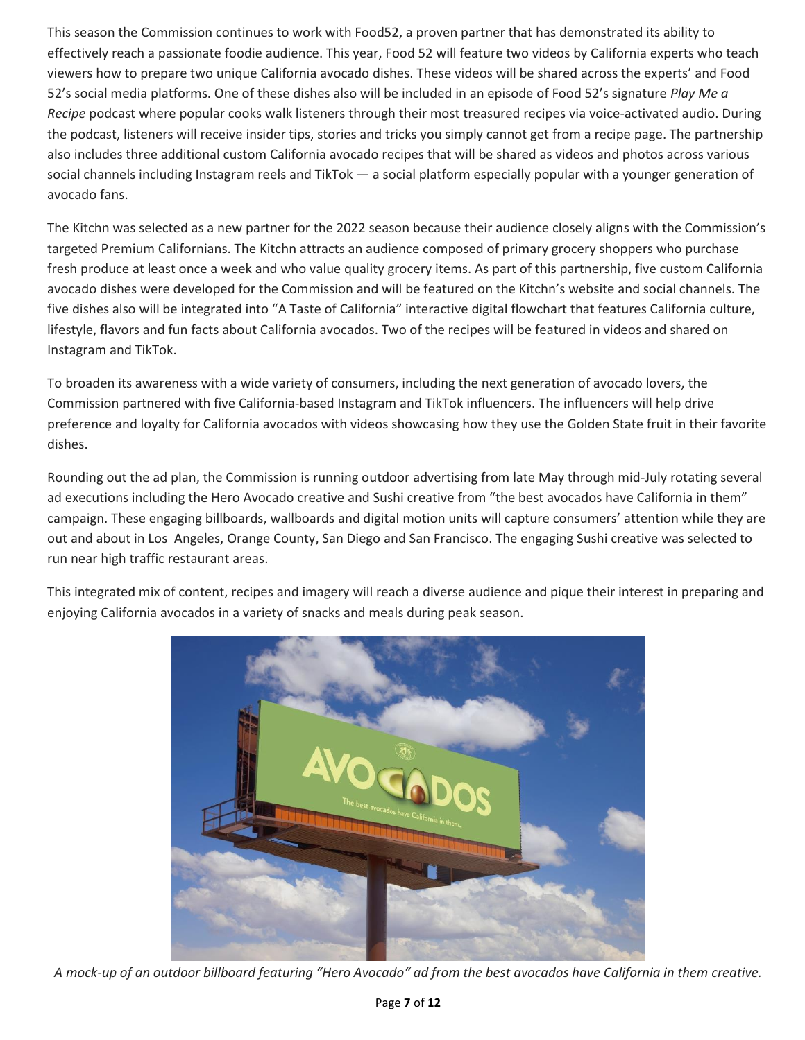This season the Commission continues to work with Food52, a proven partner that has demonstrated its ability to effectively reach a passionate foodie audience. This year, Food 52 will feature two videos by California experts who teach viewers how to prepare two unique California avocado dishes. These videos will be shared across the experts' and Food 52's social media platforms. One of these dishes also will be included in an episode of Food 52's signature *Play Me a Recipe* podcast where popular cooks walk listeners through their most treasured recipes via voice-activated audio. During the podcast, listeners will receive insider tips, stories and tricks you simply cannot get from a recipe page. The partnership also includes three additional custom California avocado recipes that will be shared as videos and photos across various social channels including Instagram reels and TikTok — a social platform especially popular with a younger generation of avocado fans.

The Kitchn was selected as a new partner for the 2022 season because their audience closely aligns with the Commission's targeted Premium Californians. The Kitchn attracts an audience composed of primary grocery shoppers who purchase fresh produce at least once a week and who value quality grocery items. As part of this partnership, five custom California avocado dishes were developed for the Commission and will be featured on the Kitchn's website and social channels. The five dishes also will be integrated into "A Taste of California" interactive digital flowchart that features California culture, lifestyle, flavors and fun facts about California avocados. Two of the recipes will be featured in videos and shared on Instagram and TikTok.

To broaden its awareness with a wide variety of consumers, including the next generation of avocado lovers, the Commission partnered with five California-based Instagram and TikTok influencers. The influencers will help drive preference and loyalty for California avocados with videos showcasing how they use the Golden State fruit in their favorite dishes.

Rounding out the ad plan, the Commission is running outdoor advertising from late May through mid-July rotating several ad executions including the Hero Avocado creative and Sushi creative from "the best avocados have California in them" campaign. These engaging billboards, wallboards and digital motion units will capture consumers' attention while they are out and about in Los Angeles, Orange County, San Diego and San Francisco. The engaging Sushi creative was selected to run near high traffic restaurant areas.

This integrated mix of content, recipes and imagery will reach a diverse audience and pique their interest in preparing and enjoying California avocados in a variety of snacks and meals during peak season.

![](_page_6_Picture_5.jpeg)

*A mock-up of an outdoor billboard featuring "Hero Avocado" ad from the best avocados have California in them creative.*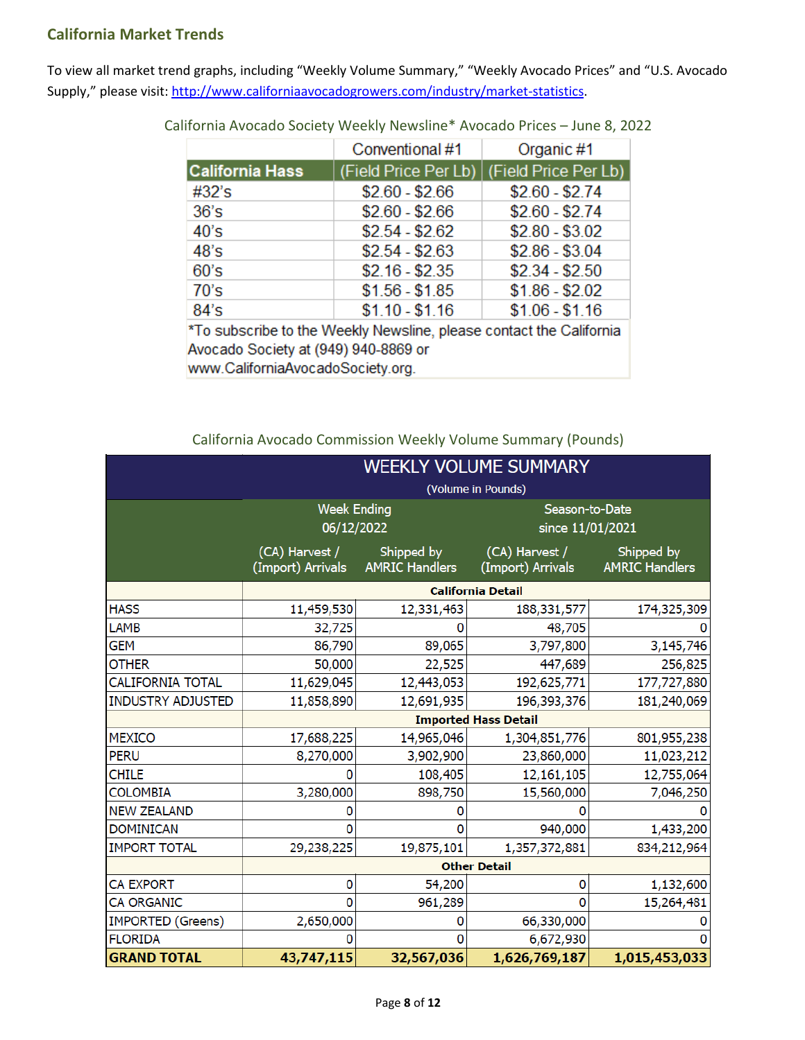## <span id="page-7-0"></span>**California Market Trends**

To view all market trend graphs, including "Weekly Volume Summary," "Weekly Avocado Prices" and "U.S. Avocado Supply," please visit[: http://www.californiaavocadogrowers.com/industry/market-statistics.](http://www.californiaavocadogrowers.com/industry/market-statistics)

|                                                                                                                                                                                                                                                                                                                                                                                                                            | Conventional #1 | Organic #1                                  |  |  |  |  |
|----------------------------------------------------------------------------------------------------------------------------------------------------------------------------------------------------------------------------------------------------------------------------------------------------------------------------------------------------------------------------------------------------------------------------|-----------------|---------------------------------------------|--|--|--|--|
| <b>California Hass</b>                                                                                                                                                                                                                                                                                                                                                                                                     |                 | (Field Price Per Lb)   (Field Price Per Lb) |  |  |  |  |
| #32's                                                                                                                                                                                                                                                                                                                                                                                                                      | $$2.60 - $2.66$ | $$2.60 - $2.74$                             |  |  |  |  |
| 36's                                                                                                                                                                                                                                                                                                                                                                                                                       | $$2.60 - $2.66$ | $$2.60 - $2.74$                             |  |  |  |  |
| 40's                                                                                                                                                                                                                                                                                                                                                                                                                       | $$2.54 - $2.62$ | $$2.80 - $3.02$                             |  |  |  |  |
| 48's                                                                                                                                                                                                                                                                                                                                                                                                                       | $$2.54 - $2.63$ | $$2.86 - $3.04$                             |  |  |  |  |
| 60's                                                                                                                                                                                                                                                                                                                                                                                                                       | $$2.16 - $2.35$ | $$2.34 - $2.50$                             |  |  |  |  |
| 70's                                                                                                                                                                                                                                                                                                                                                                                                                       | $$1.56 - $1.85$ | $$1.86 - $2.02$                             |  |  |  |  |
| 84's                                                                                                                                                                                                                                                                                                                                                                                                                       | $$1.10 - $1.16$ | $$1.06 - $1.16$                             |  |  |  |  |
| *To subscribe to the Weekly Newsline, please contact the California<br>$\overline{a}$ , $\overline{a}$ , $\overline{a}$ , $\overline{a}$ , $\overline{a}$ , $\overline{a}$ , $\overline{a}$ , $\overline{a}$ , $\overline{a}$ , $\overline{a}$ , $\overline{a}$ , $\overline{a}$ , $\overline{a}$ , $\overline{a}$ , $\overline{a}$ , $\overline{a}$ , $\overline{a}$ , $\overline{a}$ , $\overline{a}$ , $\overline{a}$ , |                 |                                             |  |  |  |  |

California Avocado Society Weekly Newsline\* Avocado Prices – June 8, 2022

Avocado Society at (949) 940-8869 or www.CaliforniaAvocadoSociety.org.

California Avocado Commission Weekly Volume Summary (Pounds)

|                          | <b>WEEKLY VOLUME SUMMARY</b>        |                                     |                                     |                                     |  |  |
|--------------------------|-------------------------------------|-------------------------------------|-------------------------------------|-------------------------------------|--|--|
|                          | (Volume in Pounds)                  |                                     |                                     |                                     |  |  |
|                          | <b>Week Ending</b><br>06/12/2022    |                                     | Season-to-Date<br>since 11/01/2021  |                                     |  |  |
|                          |                                     |                                     |                                     |                                     |  |  |
|                          | (CA) Harvest /<br>(Import) Arrivals | Shipped by<br><b>AMRIC Handlers</b> | (CA) Harvest /<br>(Import) Arrivals | Shipped by<br><b>AMRIC Handlers</b> |  |  |
|                          | <b>California Detail</b>            |                                     |                                     |                                     |  |  |
| <b>HASS</b>              | 11,459,530                          | 12,331,463                          | 188, 331, 577                       | 174,325,309                         |  |  |
| <b>LAMB</b>              | 32,725                              |                                     | 48,705                              |                                     |  |  |
| <b>GEM</b>               | 86,790                              | 89,065                              | 3,797,800                           | 3,145,746                           |  |  |
| <b>OTHER</b>             | 50,000                              | 22,525                              | 447,689                             | 256,825                             |  |  |
| <b>CALIFORNIA TOTAL</b>  | 11,629,045                          | 12,443,053                          | 192,625,771                         | 177,727,880                         |  |  |
| <b>INDUSTRY ADJUSTED</b> | 11,858,890                          | 12,691,935                          | 196,393,376                         | 181,240,069                         |  |  |
|                          | <b>Imported Hass Detail</b>         |                                     |                                     |                                     |  |  |
| <b>MEXICO</b>            | 17,688,225                          | 14,965,046                          | 1,304,851,776                       | 801,955,238                         |  |  |
| <b>PERU</b>              | 8,270,000                           | 3,902,900                           | 23,860,000                          | 11,023,212                          |  |  |
| <b>CHILE</b>             | o                                   | 108,405                             | 12,161,105                          | 12,755,064                          |  |  |
| <b>COLOMBIA</b>          | 3,280,000                           | 898,750                             | 15,560,000                          | 7,046,250                           |  |  |
| <b>NEW ZEALAND</b>       |                                     |                                     |                                     |                                     |  |  |
| <b>DOMINICAN</b>         | n                                   | O                                   | 940,000                             | 1,433,200                           |  |  |
| <b>IMPORT TOTAL</b>      | 29,238,225                          | 19,875,101                          | 1,357,372,881                       | 834,212,964                         |  |  |
|                          | <b>Other Detail</b>                 |                                     |                                     |                                     |  |  |
| <b>CA EXPORT</b>         | 0                                   | 54,200                              | 0                                   | 1,132,600                           |  |  |
| <b>CA ORGANIC</b>        | 0                                   | 961,289                             | O                                   | 15,264,481                          |  |  |
| <b>IMPORTED (Greens)</b> | 2,650,000                           | 0                                   | 66,330,000                          |                                     |  |  |
| <b>FLORIDA</b>           |                                     | o                                   | 6,672,930                           |                                     |  |  |
| <b>GRAND TOTAL</b>       | 43,747,115                          | 32,567,036                          | 1,626,769,187                       | 1,015,453,033                       |  |  |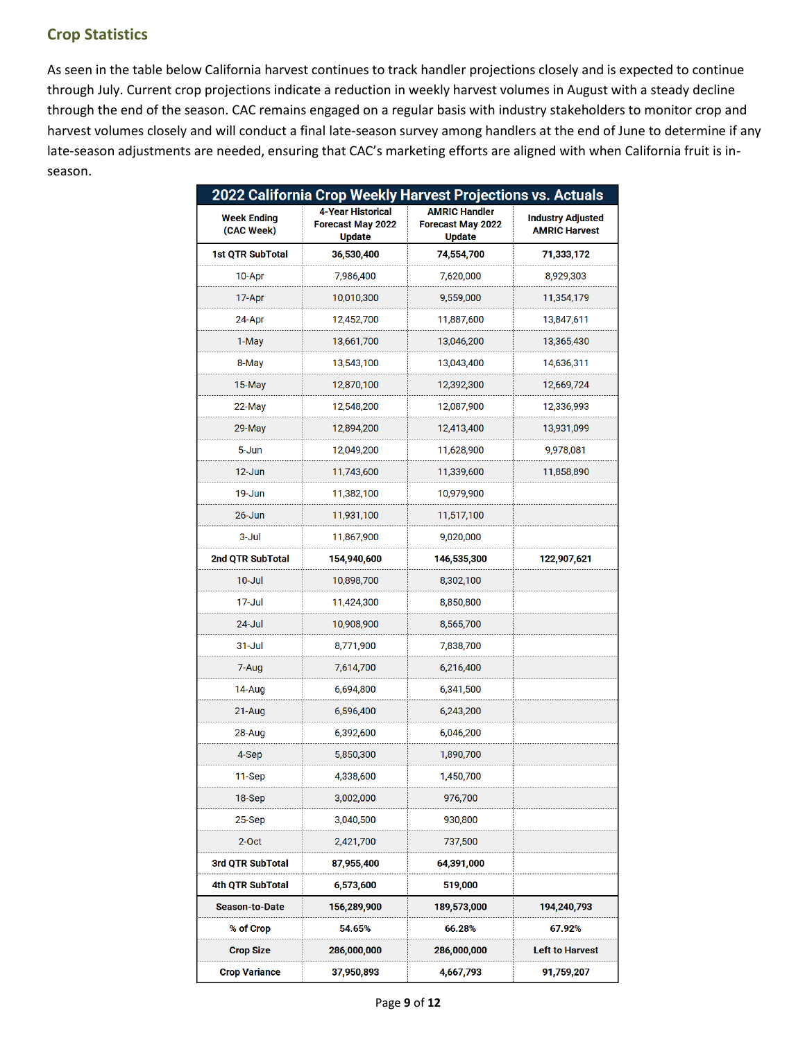# <span id="page-8-0"></span>**Crop Statistics**

As seen in the table below California harvest continues to track handler projections closely and is expected to continue through July. Current crop projections indicate a reduction in weekly harvest volumes in August with a steady decline through the end of the season. CAC remains engaged on a regular basis with industry stakeholders to monitor crop and harvest volumes closely and will conduct a final late-season survey among handlers at the end of June to determine if any late-season adjustments are needed, ensuring that CAC's marketing efforts are aligned with when California fruit is inseason.

| 2022 California Crop Weekly Harvest Projections vs. Actuals |                                                                       |                                                                   |                                                  |  |  |
|-------------------------------------------------------------|-----------------------------------------------------------------------|-------------------------------------------------------------------|--------------------------------------------------|--|--|
| <b>Week Ending</b><br>(CAC Week)                            | <b>4-Year Historical</b><br><b>Forecast May 2022</b><br><b>Update</b> | <b>AMRIC Handler</b><br><b>Forecast May 2022</b><br><b>Update</b> | <b>Industry Adjusted</b><br><b>AMRIC Harvest</b> |  |  |
| 1st QTR SubTotal                                            | 36,530,400                                                            | 74,554,700                                                        | 71,333,172                                       |  |  |
| 10-Apr                                                      | 7,986,400                                                             | 7,620,000                                                         | 8,929,303                                        |  |  |
| 17-Apr                                                      | 10,010,300                                                            | 9,559,000                                                         | 11,354,179                                       |  |  |
| 24-Apr                                                      | 12,452,700                                                            | 11,887,600                                                        | 13,847,611                                       |  |  |
| 1-May                                                       | 13,661,700                                                            | 13,046,200                                                        | 13,365,430                                       |  |  |
| 8-May                                                       | 13,543,100                                                            | 13,043,400                                                        | 14,636,311                                       |  |  |
| 15-May                                                      | 12,870,100                                                            | 12,392,300                                                        | 12,669,724                                       |  |  |
| 22-May                                                      | 12,548,200                                                            | 12,087,900                                                        | 12,336,993                                       |  |  |
| 29-May                                                      | 12,894,200                                                            | 12,413,400                                                        | 13,931,099                                       |  |  |
| 5-Jun                                                       | 12,049,200                                                            | 11,628,900                                                        | 9,978,081                                        |  |  |
| 12-Jun                                                      | 11,743,600                                                            | 11,339,600                                                        | 11,858,890                                       |  |  |
| 19-Jun                                                      | 11,382,100                                                            | 10,979,900                                                        |                                                  |  |  |
| $26 - Jun$                                                  | 11,931,100                                                            | 11,517,100                                                        |                                                  |  |  |
| $3 -$ Jul                                                   | 11,867,900                                                            | 9,020,000                                                         |                                                  |  |  |
| 2nd QTR SubTotal                                            | 154,940,600                                                           | 146,535,300                                                       | 122,907,621                                      |  |  |
| 10-Jul                                                      | 10,898,700                                                            | 8,302,100                                                         |                                                  |  |  |
| 17-Jul                                                      | 11,424,300                                                            | 8,850,800                                                         |                                                  |  |  |
| 24-Jul                                                      | 10,908,900                                                            | 8,565,700                                                         |                                                  |  |  |
| $31 -$ Jul                                                  | 8,771,900                                                             | 7,838,700                                                         |                                                  |  |  |
| 7-Aug                                                       | 7,614,700                                                             | 6,216,400                                                         |                                                  |  |  |
| 14-Aug                                                      | 6,694,800                                                             | 6,341,500                                                         |                                                  |  |  |
| 21-Aug                                                      | 6,596,400                                                             | 6,243,200                                                         |                                                  |  |  |
| 28-Aug                                                      | 6,392,600                                                             | 6,046,200                                                         |                                                  |  |  |
| 4-Sep                                                       | 5,850,300                                                             | 1,890,700                                                         |                                                  |  |  |
| 11-Sep                                                      | 4,338,600                                                             | 1,450,700                                                         |                                                  |  |  |
| 18-Sep                                                      | 3,002,000                                                             | 976,700                                                           |                                                  |  |  |
| $25-Sep$                                                    | 3,040,500                                                             | 930,800                                                           |                                                  |  |  |
| 2-Oct                                                       | 2,421,700                                                             | 737,500                                                           |                                                  |  |  |
| 3rd QTR SubTotal                                            | 87,955,400                                                            | 64,391,000                                                        |                                                  |  |  |
| 4th QTR SubTotal                                            | 6,573,600                                                             | 519,000                                                           |                                                  |  |  |
| <b>Season-to-Date</b>                                       | 156,289,900                                                           | 189,573,000                                                       | 194,240,793                                      |  |  |
| % of Crop                                                   | 54.65%                                                                | 66.28%                                                            | 67.92%                                           |  |  |
| <b>Crop Size</b>                                            | 286,000,000                                                           | 286,000,000                                                       | <b>Left to Harvest</b>                           |  |  |
| <b>Crop Variance</b>                                        | 37,950,893                                                            | 4,667,793                                                         | 91,759,207                                       |  |  |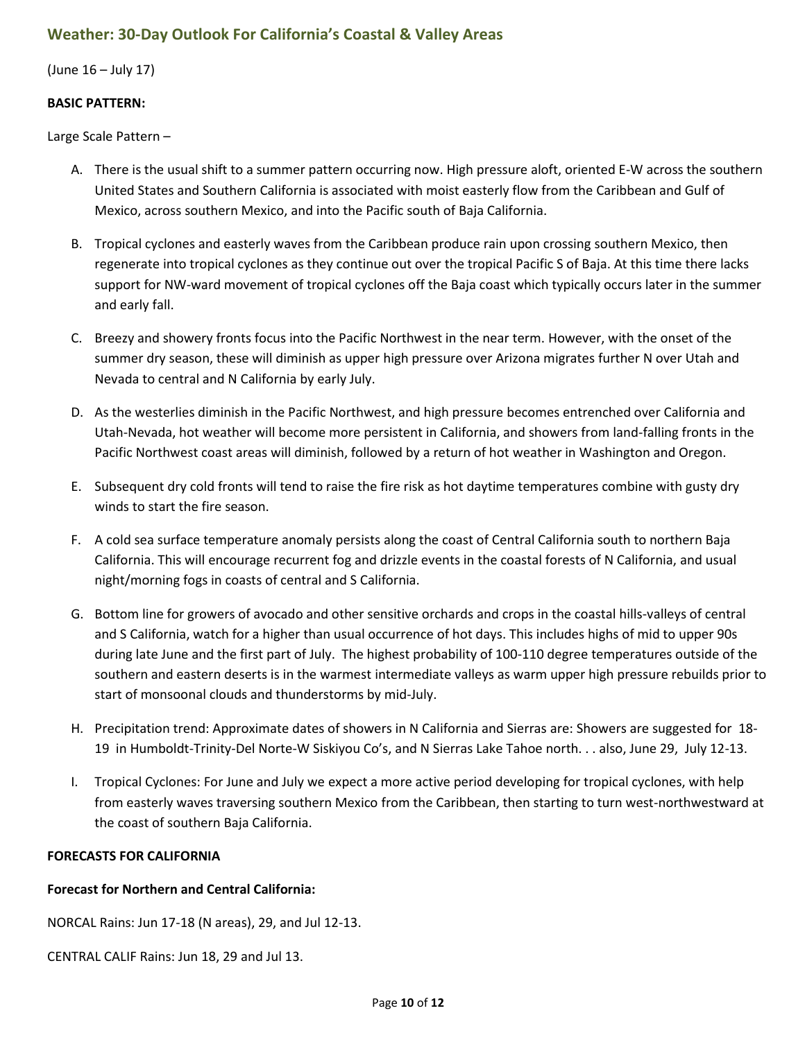## <span id="page-9-0"></span>**Weather: 30-Day Outlook For California's Coastal & Valley Areas**

(June 16 – July 17)

#### **BASIC PATTERN:**

Large Scale Pattern –

- A. There is the usual shift to a summer pattern occurring now. High pressure aloft, oriented E-W across the southern United States and Southern California is associated with moist easterly flow from the Caribbean and Gulf of Mexico, across southern Mexico, and into the Pacific south of Baja California.
- B. Tropical cyclones and easterly waves from the Caribbean produce rain upon crossing southern Mexico, then regenerate into tropical cyclones as they continue out over the tropical Pacific S of Baja. At this time there lacks support for NW-ward movement of tropical cyclones off the Baja coast which typically occurs later in the summer and early fall.
- C. Breezy and showery fronts focus into the Pacific Northwest in the near term. However, with the onset of the summer dry season, these will diminish as upper high pressure over Arizona migrates further N over Utah and Nevada to central and N California by early July.
- D. As the westerlies diminish in the Pacific Northwest, and high pressure becomes entrenched over California and Utah-Nevada, hot weather will become more persistent in California, and showers from land-falling fronts in the Pacific Northwest coast areas will diminish, followed by a return of hot weather in Washington and Oregon.
- E. Subsequent dry cold fronts will tend to raise the fire risk as hot daytime temperatures combine with gusty dry winds to start the fire season.
- F. A cold sea surface temperature anomaly persists along the coast of Central California south to northern Baja California. This will encourage recurrent fog and drizzle events in the coastal forests of N California, and usual night/morning fogs in coasts of central and S California.
- G. Bottom line for growers of avocado and other sensitive orchards and crops in the coastal hills-valleys of central and S California, watch for a higher than usual occurrence of hot days. This includes highs of mid to upper 90s during late June and the first part of July. The highest probability of 100-110 degree temperatures outside of the southern and eastern deserts is in the warmest intermediate valleys as warm upper high pressure rebuilds prior to start of monsoonal clouds and thunderstorms by mid-July.
- H. Precipitation trend: Approximate dates of showers in N California and Sierras are: Showers are suggested for 18- 19 in Humboldt-Trinity-Del Norte-W Siskiyou Co's, and N Sierras Lake Tahoe north. . . also, June 29, July 12-13.
- I. Tropical Cyclones: For June and July we expect a more active period developing for tropical cyclones, with help from easterly waves traversing southern Mexico from the Caribbean, then starting to turn west-northwestward at the coast of southern Baja California.

#### **FORECASTS FOR CALIFORNIA**

#### **Forecast for Northern and Central California:**

NORCAL Rains: Jun 17-18 (N areas), 29, and Jul 12-13.

CENTRAL CALIF Rains: Jun 18, 29 and Jul 13.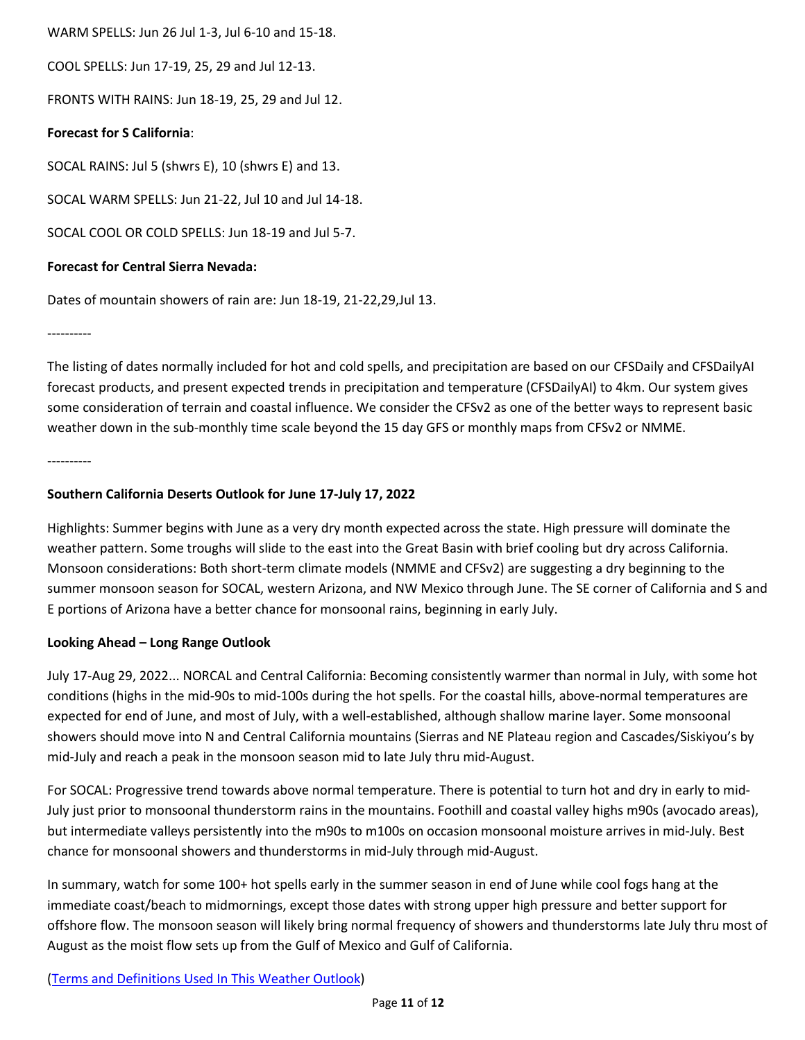WARM SPELLS: Jun 26 Jul 1-3, Jul 6-10 and 15-18.

COOL SPELLS: Jun 17-19, 25, 29 and Jul 12-13.

FRONTS WITH RAINS: Jun 18-19, 25, 29 and Jul 12.

#### **Forecast for S California**:

SOCAL RAINS: Jul 5 (shwrs E), 10 (shwrs E) and 13.

SOCAL WARM SPELLS: Jun 21-22, Jul 10 and Jul 14-18.

SOCAL COOL OR COLD SPELLS: Jun 18-19 and Jul 5-7.

#### **Forecast for Central Sierra Nevada:**

Dates of mountain showers of rain are: Jun 18-19, 21-22,29,Jul 13.

----------

The listing of dates normally included for hot and cold spells, and precipitation are based on our CFSDaily and CFSDailyAI forecast products, and present expected trends in precipitation and temperature (CFSDailyAI) to 4km. Our system gives some consideration of terrain and coastal influence. We consider the CFSv2 as one of the better ways to represent basic weather down in the sub-monthly time scale beyond the 15 day GFS or monthly maps from CFSv2 or NMME.

----------

### **Southern California Deserts Outlook for June 17-July 17, 2022**

Highlights: Summer begins with June as a very dry month expected across the state. High pressure will dominate the weather pattern. Some troughs will slide to the east into the Great Basin with brief cooling but dry across California. Monsoon considerations: Both short-term climate models (NMME and CFSv2) are suggesting a dry beginning to the summer monsoon season for SOCAL, western Arizona, and NW Mexico through June. The SE corner of California and S and E portions of Arizona have a better chance for monsoonal rains, beginning in early July.

### **Looking Ahead – Long Range Outlook**

July 17-Aug 29, 2022... NORCAL and Central California: Becoming consistently warmer than normal in July, with some hot conditions (highs in the mid-90s to mid-100s during the hot spells. For the coastal hills, above-normal temperatures are expected for end of June, and most of July, with a well-established, although shallow marine layer. Some monsoonal showers should move into N and Central California mountains (Sierras and NE Plateau region and Cascades/Siskiyou's by mid-July and reach a peak in the monsoon season mid to late July thru mid-August.

For SOCAL: Progressive trend towards above normal temperature. There is potential to turn hot and dry in early to mid-July just prior to monsoonal thunderstorm rains in the mountains. Foothill and coastal valley highs m90s (avocado areas), but intermediate valleys persistently into the m90s to m100s on occasion monsoonal moisture arrives in mid-July. Best chance for monsoonal showers and thunderstorms in mid-July through mid-August.

In summary, watch for some 100+ hot spells early in the summer season in end of June while cool fogs hang at the immediate coast/beach to midmornings, except those dates with strong upper high pressure and better support for offshore flow. The monsoon season will likely bring normal frequency of showers and thunderstorms late July thru most of August as the moist flow sets up from the Gulf of Mexico and Gulf of California.

(Terms and Definitions Used In This Weather Outlook)